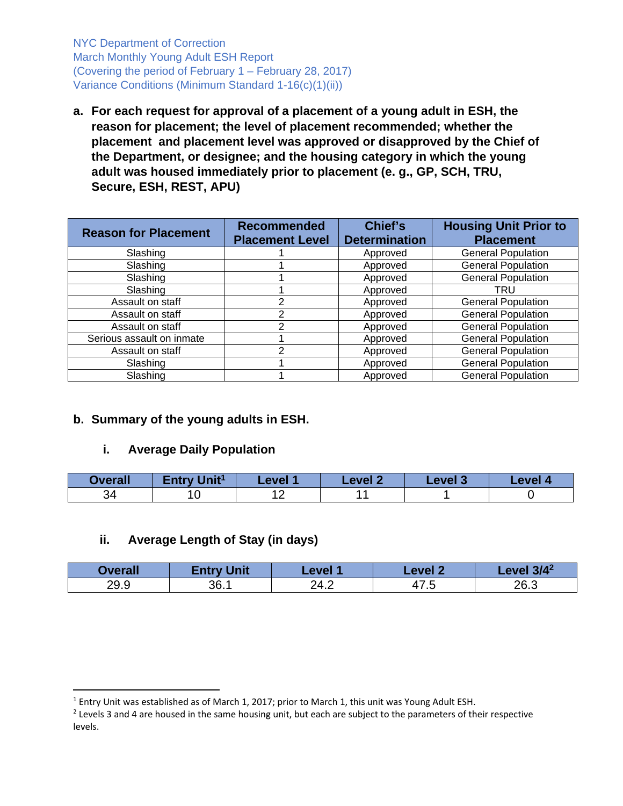NYC Department of Correction March Monthly Young Adult ESH Report (Covering the period of February 1 – February 28, 2017) Variance Conditions (Minimum Standard 1-16(c)(1)(ii))

**a. For each request for approval of a placement of a young adult in ESH, the reason for placement; the level of placement recommended; whether the placement and placement level was approved or disapproved by the Chief of the Department, or designee; and the housing category in which the young adult was housed immediately prior to placement (e. g., GP, SCH, TRU, Secure, ESH, REST, APU)** 

| <b>Reason for Placement</b> | <b>Recommended</b><br><b>Placement Level</b> | Chief's<br><b>Determination</b> | <b>Housing Unit Prior to</b><br><b>Placement</b> |
|-----------------------------|----------------------------------------------|---------------------------------|--------------------------------------------------|
| Slashing                    |                                              | Approved                        | <b>General Population</b>                        |
| Slashing                    |                                              | Approved                        | <b>General Population</b>                        |
| Slashing                    |                                              | Approved                        | <b>General Population</b>                        |
| Slashing                    |                                              | Approved                        | TRU                                              |
| Assault on staff            | າ                                            | Approved                        | <b>General Population</b>                        |
| Assault on staff            | າ                                            | Approved                        | <b>General Population</b>                        |
| Assault on staff            |                                              | Approved                        | <b>General Population</b>                        |
| Serious assault on inmate   |                                              | Approved                        | <b>General Population</b>                        |
| Assault on staff            | າ                                            | Approved                        | <b>General Population</b>                        |
| Slashing                    |                                              | Approved                        | <b>General Population</b>                        |
| Slashing                    |                                              | Approved                        | <b>General Population</b>                        |

# **b. Summary of the young adults in ESH.**

### **i. Average Daily Population**

| <b>Overall</b> | Entry Unit <sup>1</sup> | Level <sup>*</sup> | Level 2 | <b>Level 3</b> | <b>Level</b> / |
|----------------|-------------------------|--------------------|---------|----------------|----------------|
| 34             |                         |                    |         |                |                |

### **ii. Average Length of Stay (in days)**

| <b>Dverall</b> | <b>Entry Unit</b> | Level 1      | Level 2       | $13/4^2$<br><b>Level</b> |
|----------------|-------------------|--------------|---------------|--------------------------|
| 29.9           | 36.1              | 24 2<br>27.Z | 17 F<br>71 .U | 26.3                     |

<sup>&</sup>lt;sup>1</sup> Entry Unit was established as of March 1, 2017; prior to March 1, this unit was Young Adult ESH.

<sup>&</sup>lt;sup>2</sup> Levels 3 and 4 are housed in the same housing unit, but each are subject to the parameters of their respective levels.